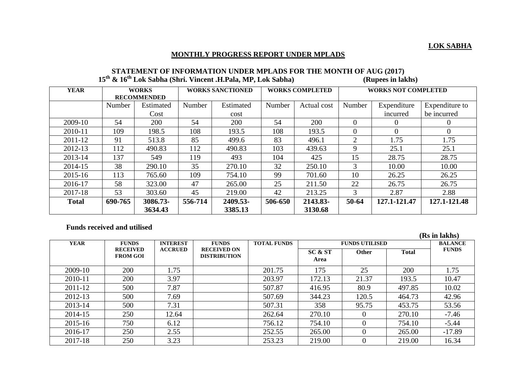## **MONTHLY PROGRESS REPORT UNDER MPLADS**

| <b>&amp; 10</b> LOK Sabila (Shift, Vincent .fl. Pala, MP, LOK Sabila) |                    |            |                         |            |                        |             |                            | (Rupees III lakiis) |                |  |  |
|-----------------------------------------------------------------------|--------------------|------------|-------------------------|------------|------------------------|-------------|----------------------------|---------------------|----------------|--|--|
| <b>YEAR</b>                                                           | <b>WORKS</b>       |            | <b>WORKS SANCTIONED</b> |            | <b>WORKS COMPLETED</b> |             | <b>WORKS NOT COMPLETED</b> |                     |                |  |  |
|                                                                       | <b>RECOMMENDED</b> |            |                         |            |                        |             |                            |                     |                |  |  |
|                                                                       | Number             | Estimated  | Number                  | Estimated  | Number                 | Actual cost | Number                     | Expenditure         | Expenditure to |  |  |
|                                                                       |                    | Cost       |                         | cost       |                        |             |                            | incurred            | be incurred    |  |  |
| 2009-10                                                               | 54                 | <b>200</b> | 54                      | <b>200</b> | 54                     | 200         | $\Omega$                   | $\theta$            | $\theta$       |  |  |
| 2010-11                                                               | 109                | 198.5      | 108                     | 193.5      | 108                    | 193.5       | $\Omega$                   | $\Omega$            | $\overline{0}$ |  |  |
| 2011-12                                                               | 91                 | 513.8      | 85                      | 499.6      | 83                     | 496.1       | $\overline{2}$             | 1.75                | 1.75           |  |  |
| 2012-13                                                               | 112                | 490.83     | 112                     | 490.83     | 103                    | 439.63      | 9                          | 25.1                | 25.1           |  |  |
| 2013-14                                                               | 137                | 549        | 119                     | 493        | 104                    | 425         | 15                         | 28.75               | 28.75          |  |  |
| 2014-15                                                               | 38                 | 290.10     | 35                      | 270.10     | 32                     | 250.10      | 3                          | 10.00               | 10.00          |  |  |
| 2015-16                                                               | 113                | 765.60     | 109                     | 754.10     | 99                     | 701.60      | 10                         | 26.25               | 26.25          |  |  |
| 2016-17                                                               | 58                 | 323.00     | 47                      | 265.00     | 25                     | 211.50      | 22                         | 26.75               | 26.75          |  |  |
| 2017-18                                                               | 53                 | 303.60     | 45                      | 219.00     | 42                     | 213.25      | 3                          | 2.87                | 2.88           |  |  |
| <b>Total</b>                                                          | 690-765            | 3086.73-   | 556-714                 | 2409.53-   | 506-650                | 2143.83-    | 50-64                      | 127.1-121.47        | 127.1-121.48   |  |  |
|                                                                       |                    | 3634.43    |                         | 3385.13    |                        | 3130.68     |                            |                     |                |  |  |

## **STATEMENT OF INFORMATION UNDER MPLADS FOR THE MONTH OF AUG (2017)**<br> **Ex. 16<sup>th</sup> Lek Sobbe (Sbri, Vincent H Pole, MP, Lek Sobbe)**<br> **Contract in lake**  $15$ <sup>th</sup>  $\ell$ ,  $16$ <sup>th</sup> **Lok** Sabha (Shri. Vincent **H** Dala, MD, Lok Sabha)

## **Funds received and utilised**

**(Rs in lakhs) YEAR FUNDS RECEIVED FROM GOI INTEREST ACCRUED FUNDS RECEIVED ON DISTRIBUTION TOTAL FUNDS FUNDS UTILISED BALANCE FUNDS SC & ST Other FUNDS Area Other** 2009-10 | 200 | 1.75 | 201.75 | 175 | 25 | 200 | 1.75 2010-11 200 3.97 203.97 172.13 21.37 193.5 10.47 2011-12 | 500 | 7.87 | 507.87 | 416.95 | 80.9 | 497.85 | 10.02 2012-13 500 7.69 507.69 344.23 120.5 464.73 42.96 2013-14 | 500 | 7.31 | 507.31 | 358 | 95.75 | 453.75 | 53.56 2014-15 250 12.64 262.64 270.10 0 270.10 -7.46 2015-16 750 6.12 756.12 754.10 0 754.10 -5.44 2016-17 250 2.55 252.55 265.00 0 265.00 -17.89 2017-18 250 3.23 253.23 219.00 0 219.00 16.34